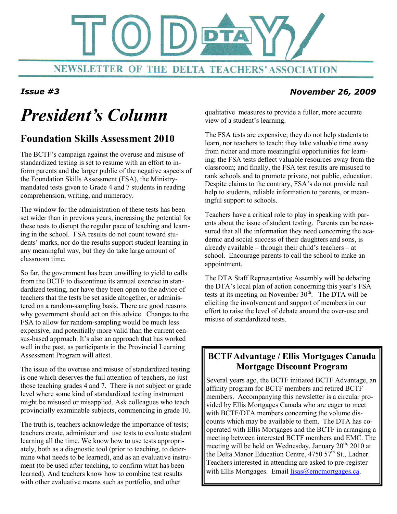

#### Issue #3 November 26, 2009

# President's Column

### Foundation Skills Assessment 2010

The BCTF's campaign against the overuse and misuse of standardized testing is set to resume with an effort to inform parents and the larger public of the negative aspects of the Foundation Skills Assessment (FSA), the Ministrymandated tests given to Grade 4 and 7 students in reading comprehension, writing, and numeracy.

The window for the administration of these tests has been set wider than in previous years, increasing the potential for these tests to disrupt the regular pace of teaching and learning in the school. FSA results do not count toward students' marks, nor do the results support student learning in any meaningful way, but they do take large amount of classroom time.

So far, the government has been unwilling to yield to calls from the BCTF to discontinue its annual exercise in standardized testing, nor have they been open to the advice of teachers that the tests be set aside altogether, or administered on a random-sampling basis. There are good reasons why government should act on this advice. Changes to the FSA to allow for random-sampling would be much less expensive, and potentially more valid than the current census-based approach. It's also an approach that has worked well in the past, as participants in the Provincial Learning Assessment Program will attest.

The issue of the overuse and misuse of standardized testing is one which deserves the full attention of teachers, no just those teaching grades 4 and 7. There is not subject or grade level where some kind of standardized testing instrument might be misused or misapplied. Ask colleagues who teach provincially examinable subjects, commencing in grade 10.

The truth is, teachers acknowledge the importance of tests; teachers create, administer and use tests to evaluate student learning all the time. We know how to use tests appropriately, both as a diagnostic tool (prior to teaching, to determine what needs to be learned), and as an evaluative instrument (to be used after teaching, to confirm what has been learned). And teachers know how to combine test results with other evaluative means such as portfolio, and other

qualitative measures to provide a fuller, more accurate view of a student's learning.

The FSA tests are expensive; they do not help students to learn, nor teachers to teach; they take valuable time away from richer and more meaningful opportunities for learning; the FSA tests deflect valuable resources away from the classroom; and finally, the FSA test results are misused to rank schools and to promote private, not public, education. Despite claims to the contrary, FSA's do not provide real help to students, reliable information to parents, or meaningful support to schools.

Teachers have a critical role to play in speaking with parents about the issue of student testing. Parents can be reassured that all the information they need concerning the academic and social success of their daughters and sons, is already available – through their child's teachers – at school. Encourage parents to call the school to make an appointment.

The DTA Staff Representative Assembly will be debating the DTA's local plan of action concerning this year's FSA tests at its meeting on November  $30<sup>th</sup>$ . The DTA will be eliciting the involvement and support of members in our effort to raise the level of debate around the over-use and misuse of standardized tests.

### BCTF Advantage / Ellis Mortgages Canada Mortgage Discount Program

Several years ago, the BCTF initiated BCTF Advantage, an affinity program for BCTF members and retired BCTF members. Accompanying this newsletter is a circular provided by Ellis Mortgages Canada who are eager to meet with BCTF/DTA members concerning the volume discounts which may be available to them. The DTA has cooperated with Ellis Mortgages and the BCTF in arranging a meeting between interested BCTF members and EMC. The meeting will be held on Wednesday, January 20<sup>th,</sup> 2010 at the Delta Manor Education Centre,  $475057^{\text{th}}$  St., Ladner. Teachers interested in attending are asked to pre-register with Ellis Mortgages. Email lisas@emcmortgages.ca.